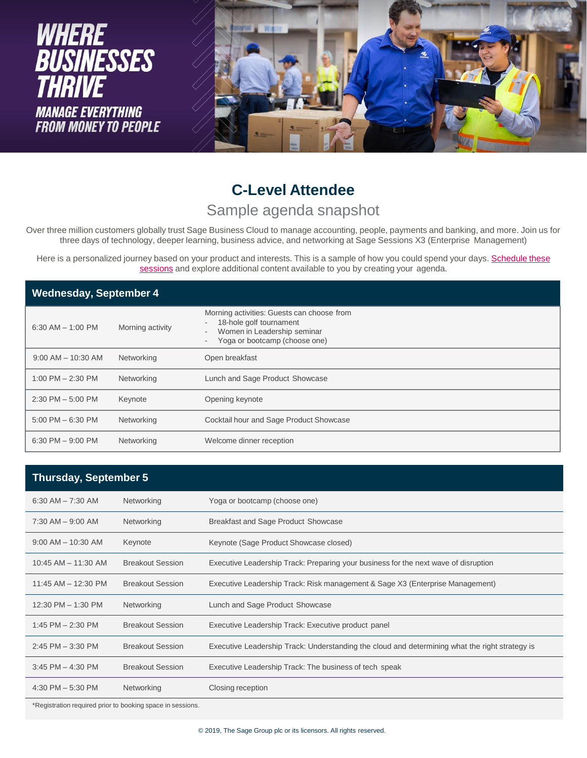

# **C-Level Attendee**

#### Sample agenda snapshot

Over three million customers globally trust Sage Business Cloud to manage accounting, people, payments and banking, and more. Join us for three days of technology, deeper learning, business advice, and networking at Sage Sessions X3 (Enterprise Management)

Here is a personalized jour[ney based on your product and interests. This is a sample of how you could spend your days.](https://events.sage.com/profile/16607) Schedule these sessions and explore additional content available to you by creating your agenda.

| <b>Wednesday, September 4</b> |                  |                                                                                                                                                                                               |  |
|-------------------------------|------------------|-----------------------------------------------------------------------------------------------------------------------------------------------------------------------------------------------|--|
| $6:30$ AM $-$ 1:00 PM         | Morning activity | Morning activities: Guests can choose from<br>18-hole golf tournament<br>Women in Leadership seminar<br>$\overline{\phantom{a}}$<br>Yoga or bootcamp (choose one)<br>$\overline{\phantom{a}}$ |  |
| $9:00$ AM $-$ 10:30 AM        | Networking       | Open breakfast                                                                                                                                                                                |  |
| 1:00 PM $-$ 2:30 PM           | Networking       | Lunch and Sage Product Showcase                                                                                                                                                               |  |
| $2:30$ PM $-5:00$ PM          | Keynote          | Opening keynote                                                                                                                                                                               |  |
| $5:00$ PM $-6:30$ PM          | Networking       | Cocktail hour and Sage Product Showcase                                                                                                                                                       |  |
| $6:30$ PM $-9:00$ PM          | Networking       | Welcome dinner reception                                                                                                                                                                      |  |

| <b>Thursday, September 5</b> |                         |                                                                                                |
|------------------------------|-------------------------|------------------------------------------------------------------------------------------------|
| $6:30$ AM $- 7:30$ AM        | Networking              | Yoga or bootcamp (choose one)                                                                  |
| $7:30$ AM $-$ 9:00 AM        | Networking              | Breakfast and Sage Product Showcase                                                            |
| $9:00$ AM $-$ 10:30 AM       | Keynote                 | Keynote (Sage Product Showcase closed)                                                         |
| $10:45$ AM $- 11:30$ AM      | <b>Breakout Session</b> | Executive Leadership Track: Preparing your business for the next wave of disruption            |
| $11:45$ AM $- 12:30$ PM      | <b>Breakout Session</b> | Executive Leadership Track: Risk management & Sage X3 (Enterprise Management)                  |
| $12:30$ PM $- 1:30$ PM       | Networking              | Lunch and Sage Product Showcase                                                                |
| 1:45 PM $- 2:30$ PM          | <b>Breakout Session</b> | Executive Leadership Track: Executive product panel                                            |
| $2:45$ PM $-3:30$ PM         | <b>Breakout Session</b> | Executive Leadership Track: Understanding the cloud and determining what the right strategy is |
| $3:45$ PM $-$ 4:30 PM        | <b>Breakout Session</b> | Executive Leadership Track: The business of tech speak                                         |
| 4:30 PM $-$ 5:30 PM          | Networking              | Closing reception                                                                              |

\*Registration required prior to booking space in sessions.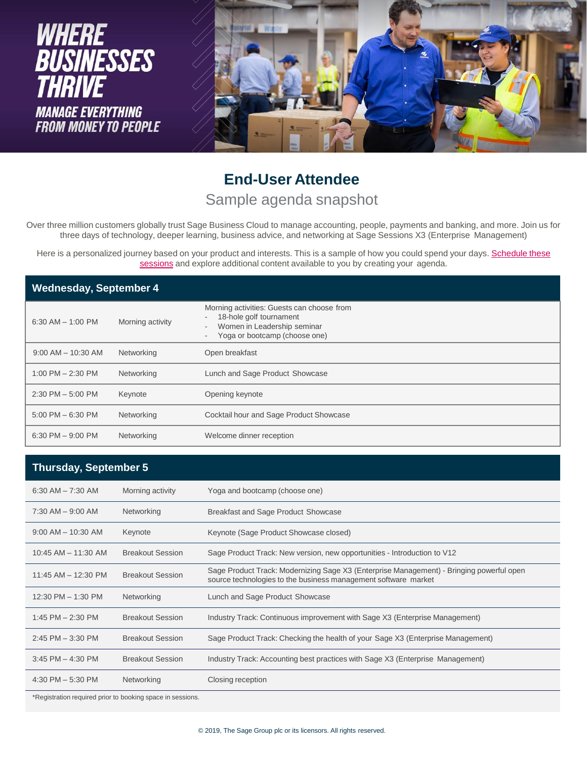

### **End-User Attendee** Sample agenda snapshot

Over three million customers globally trust Sage Business Cloud to manage accounting, people, payments and banking, and more. Join us for three days of technology, deeper learning, business advice, and networking at Sage Sessions X3 (Enterprise Management)

Here is a personalized jour[ney based on your product and interests. This is a sample of how you could spend your days.](https://events.sage.com/profile/16607) Schedule these sessions and explore additional content available to you by creating your agenda.

| <b>Wednesday, September 4</b> |                  |                                                                                                                                       |  |
|-------------------------------|------------------|---------------------------------------------------------------------------------------------------------------------------------------|--|
| $6:30$ AM $-$ 1:00 PM         | Morning activity | Morning activities: Guests can choose from<br>18-hole golf tournament<br>Women in Leadership seminar<br>Yoga or bootcamp (choose one) |  |
| $9:00$ AM $-$ 10:30 AM        | Networking       | Open breakfast                                                                                                                        |  |
| 1:00 PM $-$ 2:30 PM           | Networking       | Lunch and Sage Product Showcase                                                                                                       |  |
| $2:30$ PM $-5:00$ PM          | Keynote          | Opening keynote                                                                                                                       |  |
| $5:00$ PM $-6:30$ PM          | Networking       | Cocktail hour and Sage Product Showcase                                                                                               |  |
| $6:30$ PM $-9:00$ PM          | Networking       | Welcome dinner reception                                                                                                              |  |

#### **Thursday, September 5**

| $6:30$ AM $- 7:30$ AM   | Morning activity        | Yoga and bootcamp (choose one)                                                                                                                             |
|-------------------------|-------------------------|------------------------------------------------------------------------------------------------------------------------------------------------------------|
| $7:30$ AM $-$ 9:00 AM   | Networking              | Breakfast and Sage Product Showcase                                                                                                                        |
| $9:00$ AM $-$ 10:30 AM  | Keynote                 | Keynote (Sage Product Showcase closed)                                                                                                                     |
| $10:45$ AM $-$ 11:30 AM | <b>Breakout Session</b> | Sage Product Track: New version, new opportunities - Introduction to V12                                                                                   |
| $11:45$ AM $- 12:30$ PM | <b>Breakout Session</b> | Sage Product Track: Modernizing Sage X3 (Enterprise Management) - Bringing powerful open<br>source technologies to the business management software market |
| 12:30 PM - 1:30 PM      | Networking              | Lunch and Sage Product Showcase                                                                                                                            |
| 1:45 PM $- 2:30$ PM     | <b>Breakout Session</b> | Industry Track: Continuous improvement with Sage X3 (Enterprise Management)                                                                                |
| $2:45$ PM $-3:30$ PM    | <b>Breakout Session</b> | Sage Product Track: Checking the health of your Sage X3 (Enterprise Management)                                                                            |
| $3:45$ PM $-$ 4:30 PM   | <b>Breakout Session</b> | Industry Track: Accounting best practices with Sage X3 (Enterprise Management)                                                                             |
| 4:30 PM $-$ 5:30 PM     | Networking              | Closing reception                                                                                                                                          |
|                         |                         |                                                                                                                                                            |

\*Registration required prior to booking space in sessions.